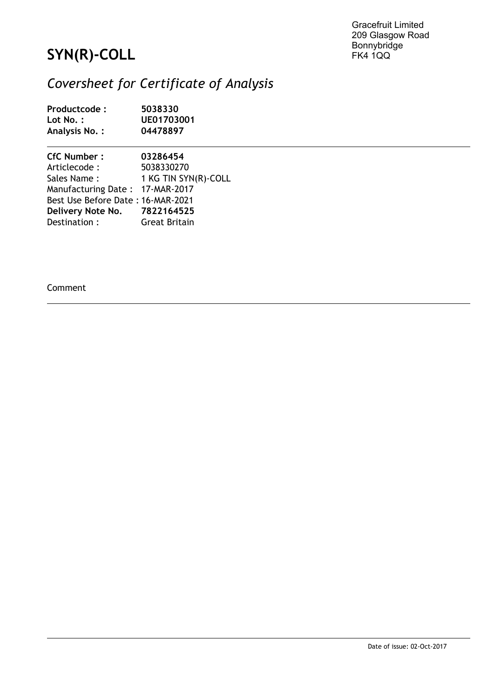Gracefruit Limited 209 Glasgow Road Bonnybridge FK4 1QQ

## **SYN(R)-COLL**

## *Coversheet for Certificate of Analysis*

| Productcode:<br>Lot No. :<br>Analysis No. : | 5038330<br>UE01703001<br>04478897 |  |
|---------------------------------------------|-----------------------------------|--|
| <b>CfC Number:</b>                          | 03286454                          |  |
| Articlecode :                               | 5038330270                        |  |
| Sales Name :                                | 1 KG TIN SYN(R)-COLL              |  |
| Manufacturing Date: 17-MAR-2017             |                                   |  |
| Best Use Before Date: 16-MAR-2021           |                                   |  |
| Delivery Note No. 7822164525                |                                   |  |
| Destination:                                | <b>Great Britain</b>              |  |

Comment